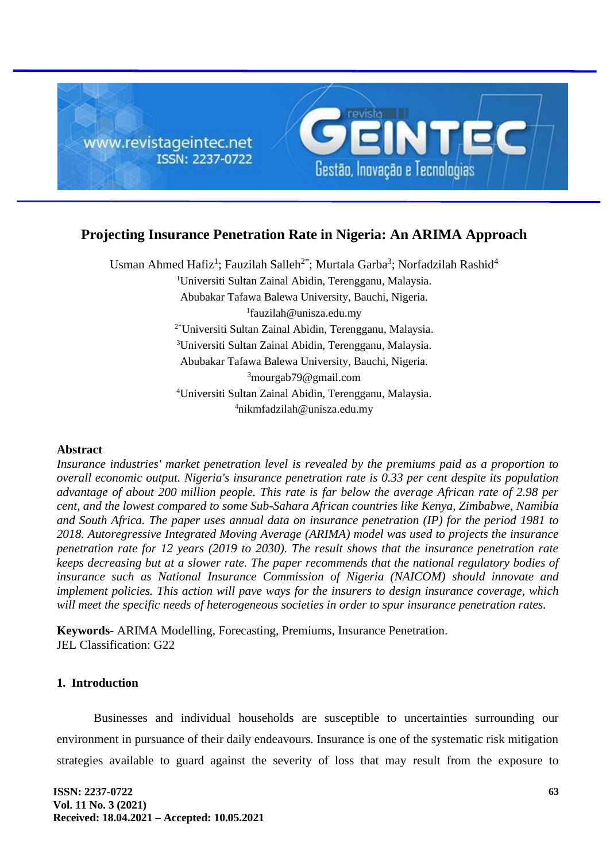

# **Projecting Insurance Penetration Rate in Nigeria: An ARIMA Approach**

Usman Ahmed Hafiz<sup>1</sup>; Fauzilah Salleh<sup>2\*</sup>; Murtala Garba<sup>3</sup>; Norfadzilah Rashid<sup>4</sup> <sup>1</sup>Universiti Sultan Zainal Abidin, Terengganu, Malaysia. Abubakar Tafawa Balewa University, Bauchi, Nigeria. 1 fauzilah@unisza.edu.my 2\*Universiti Sultan Zainal Abidin, Terengganu, Malaysia. <sup>3</sup>Universiti Sultan Zainal Abidin, Terengganu, Malaysia. Abubakar Tafawa Balewa University, Bauchi, Nigeria. <sup>3</sup>mourgab79@gmail.com <sup>4</sup>Universiti Sultan Zainal Abidin, Terengganu, Malaysia. <sup>4</sup>nikmfadzilah@unisza.edu.my

#### **Abstract**

*Insurance industries' market penetration level is revealed by the premiums paid as a proportion to overall economic output. Nigeria's insurance penetration rate is 0.33 per cent despite its population advantage of about 200 million people. This rate is far below the average African rate of 2.98 per cent, and the lowest compared to some Sub-Sahara African countries like Kenya, Zimbabwe, Namibia and South Africa. The paper uses annual data on insurance penetration (IP) for the period 1981 to 2018. Autoregressive Integrated Moving Average (ARIMA) model was used to projects the insurance penetration rate for 12 years (2019 to 2030). The result shows that the insurance penetration rate keeps decreasing but at a slower rate. The paper recommends that the national regulatory bodies of insurance such as National Insurance Commission of Nigeria (NAICOM) should innovate and implement policies. This action will pave ways for the insurers to design insurance coverage, which will meet the specific needs of heterogeneous societies in order to spur insurance penetration rates.* 

**Keywords**- ARIMA Modelling, Forecasting, Premiums, Insurance Penetration. JEL Classification: G22

# **1. Introduction**

Businesses and individual households are susceptible to uncertainties surrounding our environment in pursuance of their daily endeavours. Insurance is one of the systematic risk mitigation strategies available to guard against the severity of loss that may result from the exposure to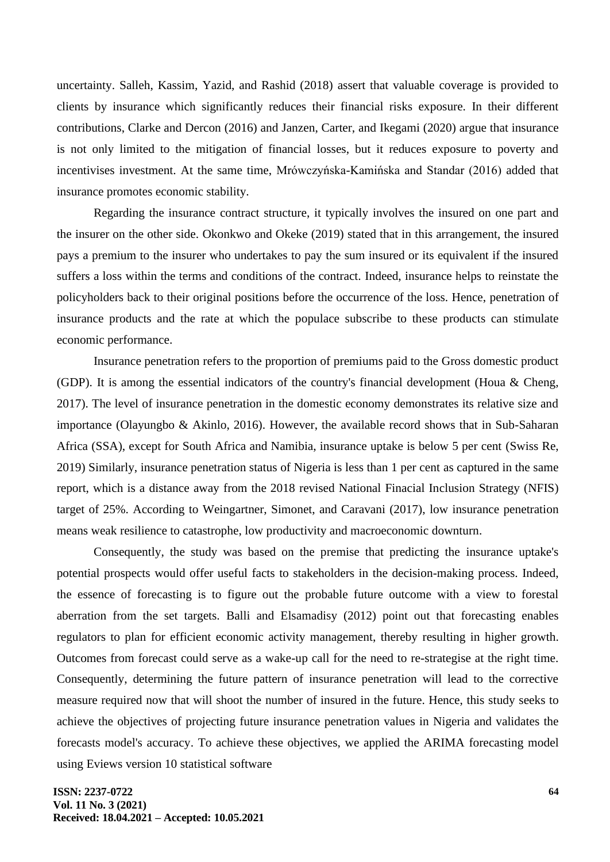uncertainty. Salleh, Kassim, Yazid, and Rashid (2018) assert that valuable coverage is provided to clients by insurance which significantly reduces their financial risks exposure. In their different contributions, Clarke and Dercon (2016) and Janzen, Carter, and Ikegami (2020) argue that insurance is not only limited to the mitigation of financial losses, but it reduces exposure to poverty and incentivises investment. At the same time, Mrówczyńska-Kamińska and Standar (2016) added that insurance promotes economic stability.

Regarding the insurance contract structure, it typically involves the insured on one part and the insurer on the other side. Okonkwo and Okeke (2019) stated that in this arrangement, the insured pays a premium to the insurer who undertakes to pay the sum insured or its equivalent if the insured suffers a loss within the terms and conditions of the contract. Indeed, insurance helps to reinstate the policyholders back to their original positions before the occurrence of the loss. Hence, penetration of insurance products and the rate at which the populace subscribe to these products can stimulate economic performance.

Insurance penetration refers to the proportion of premiums paid to the Gross domestic product (GDP). It is among the essential indicators of the country's financial development (Houa & Cheng, 2017). The level of insurance penetration in the domestic economy demonstrates its relative size and importance (Olayungbo & Akinlo, 2016). However, the available record shows that in Sub-Saharan Africa (SSA), except for South Africa and Namibia, insurance uptake is below 5 per cent (Swiss Re, 2019) Similarly, insurance penetration status of Nigeria is less than 1 per cent as captured in the same report, which is a distance away from the 2018 revised National Finacial Inclusion Strategy (NFIS) target of 25%. According to Weingartner, Simonet, and Caravani (2017), low insurance penetration means weak resilience to catastrophe, low productivity and macroeconomic downturn.

Consequently, the study was based on the premise that predicting the insurance uptake's potential prospects would offer useful facts to stakeholders in the decision-making process. Indeed, the essence of forecasting is to figure out the probable future outcome with a view to forestal aberration from the set targets. Balli and Elsamadisy (2012) point out that forecasting enables regulators to plan for efficient economic activity management, thereby resulting in higher growth. Outcomes from forecast could serve as a wake-up call for the need to re-strategise at the right time. Consequently, determining the future pattern of insurance penetration will lead to the corrective measure required now that will shoot the number of insured in the future. Hence, this study seeks to achieve the objectives of projecting future insurance penetration values in Nigeria and validates the forecasts model's accuracy. To achieve these objectives, we applied the ARIMA forecasting model using Eviews version 10 statistical software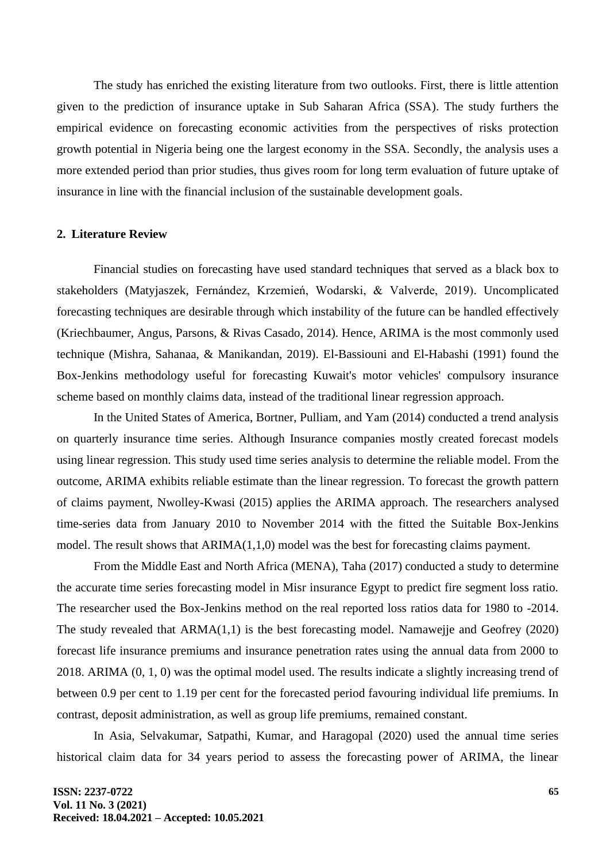The study has enriched the existing literature from two outlooks. First, there is little attention given to the prediction of insurance uptake in Sub Saharan Africa (SSA). The study furthers the empirical evidence on forecasting economic activities from the perspectives of risks protection growth potential in Nigeria being one the largest economy in the SSA. Secondly, the analysis uses a more extended period than prior studies, thus gives room for long term evaluation of future uptake of insurance in line with the financial inclusion of the sustainable development goals.

### **2. Literature Review**

Financial studies on forecasting have used standard techniques that served as a black box to stakeholders (Matyjaszek, Fernández, Krzemień, Wodarski, & Valverde, 2019). Uncomplicated forecasting techniques are desirable through which instability of the future can be handled effectively (Kriechbaumer, Angus, Parsons, & Rivas Casado, 2014). Hence, ARIMA is the most commonly used technique (Mishra, Sahanaa, & Manikandan, 2019). El-Bassiouni and El-Habashi (1991) found the Box-Jenkins methodology useful for forecasting Kuwait's motor vehicles' compulsory insurance scheme based on monthly claims data, instead of the traditional linear regression approach.

In the United States of America, Bortner, Pulliam, and Yam (2014) conducted a trend analysis on quarterly insurance time series. Although Insurance companies mostly created forecast models using linear regression. This study used time series analysis to determine the reliable model. From the outcome, ARIMA exhibits reliable estimate than the linear regression. To forecast the growth pattern of claims payment, Nwolley-Kwasi (2015) applies the ARIMA approach. The researchers analysed time-series data from January 2010 to November 2014 with the fitted the Suitable Box-Jenkins model. The result shows that ARIMA(1,1,0) model was the best for forecasting claims payment.

From the Middle East and North Africa (MENA), Taha (2017) conducted a study to determine the accurate time series forecasting model in Misr insurance Egypt to predict fire segment loss ratio. The researcher used the Box-Jenkins method on the real reported loss ratios data for 1980 to -2014. The study revealed that ARMA(1,1) is the best forecasting model. Namawejje and Geofrey (2020) forecast life insurance premiums and insurance penetration rates using the annual data from 2000 to 2018. ARIMA (0, 1, 0) was the optimal model used. The results indicate a slightly increasing trend of between 0.9 per cent to 1.19 per cent for the forecasted period favouring individual life premiums. In contrast, deposit administration, as well as group life premiums, remained constant.

In Asia, Selvakumar, Satpathi, Kumar, and Haragopal (2020) used the annual time series historical claim data for 34 years period to assess the forecasting power of ARIMA, the linear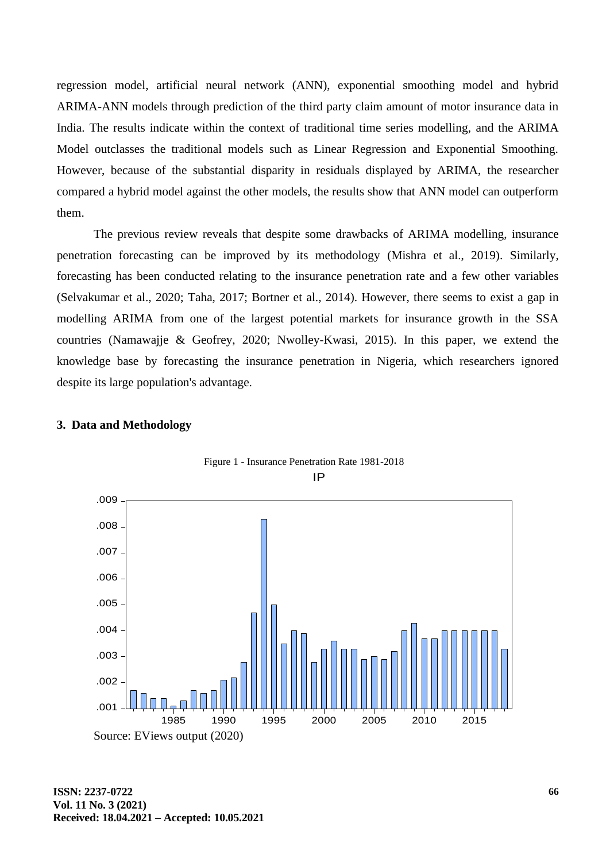regression model, artificial neural network (ANN), exponential smoothing model and hybrid ARIMA-ANN models through prediction of the third party claim amount of motor insurance data in India. The results indicate within the context of traditional time series modelling, and the ARIMA Model outclasses the traditional models such as Linear Regression and Exponential Smoothing. However, because of the substantial disparity in residuals displayed by ARIMA, the researcher compared a hybrid model against the other models, the results show that ANN model can outperform them.

The previous review reveals that despite some drawbacks of ARIMA modelling, insurance penetration forecasting can be improved by its methodology (Mishra et al., 2019). Similarly, forecasting has been conducted relating to the insurance penetration rate and a few other variables (Selvakumar et al., 2020; Taha, 2017; Bortner et al., 2014). However, there seems to exist a gap in modelling ARIMA from one of the largest potential markets for insurance growth in the SSA countries (Namawajje & Geofrey, 2020; Nwolley-Kwasi, 2015). In this paper, we extend the knowledge base by forecasting the insurance penetration in Nigeria, which researchers ignored despite its large population's advantage.

#### **3. Data and Methodology**



Figure 1 - Insurance Penetration Rate 1981-2018 IP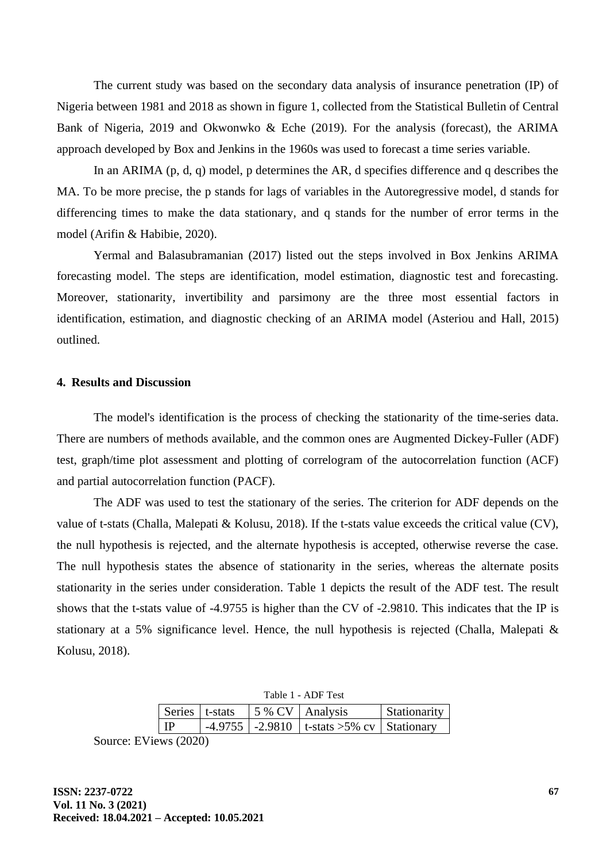The current study was based on the secondary data analysis of insurance penetration (IP) of Nigeria between 1981 and 2018 as shown in figure 1, collected from the Statistical Bulletin of Central Bank of Nigeria, 2019 and Okwonwko & Eche (2019). For the analysis (forecast), the ARIMA approach developed by Box and Jenkins in the 1960s was used to forecast a time series variable.

In an ARIMA (p, d, q) model, p determines the AR, d specifies difference and q describes the MA. To be more precise, the p stands for lags of variables in the Autoregressive model, d stands for differencing times to make the data stationary, and q stands for the number of error terms in the model (Arifin & Habibie, 2020).

Yermal and Balasubramanian (2017) listed out the steps involved in Box Jenkins ARIMA forecasting model. The steps are identification, model estimation, diagnostic test and forecasting. Moreover, stationarity, invertibility and parsimony are the three most essential factors in identification, estimation, and diagnostic checking of an ARIMA model (Asteriou and Hall, 2015) outlined.

#### **4. Results and Discussion**

The model's identification is the process of checking the stationarity of the time-series data. There are numbers of methods available, and the common ones are Augmented Dickey-Fuller (ADF) test, graph/time plot assessment and plotting of correlogram of the autocorrelation function (ACF) and partial autocorrelation function (PACF).

The ADF was used to test the stationary of the series. The criterion for ADF depends on the value of t-stats (Challa, Malepati & Kolusu, 2018). If the t-stats value exceeds the critical value (CV), the null hypothesis is rejected, and the alternate hypothesis is accepted, otherwise reverse the case. The null hypothesis states the absence of stationarity in the series, whereas the alternate posits stationarity in the series under consideration. Table 1 depicts the result of the ADF test. The result shows that the t-stats value of -4.9755 is higher than the CV of -2.9810. This indicates that the IP is stationary at a 5% significance level. Hence, the null hypothesis is rejected (Challa, Malepati & Kolusu, 2018).

| Table 1 - ADF Test |  |  |                                                     |              |  |
|--------------------|--|--|-----------------------------------------------------|--------------|--|
| Series   t-stats   |  |  | $\frac{15}{8}$ CV   Analysis                        | Stationarity |  |
| TD                 |  |  | $-4.9755$   $-2.9810$   t-stats >5% cv   Stationary |              |  |

Source: EViews (2020)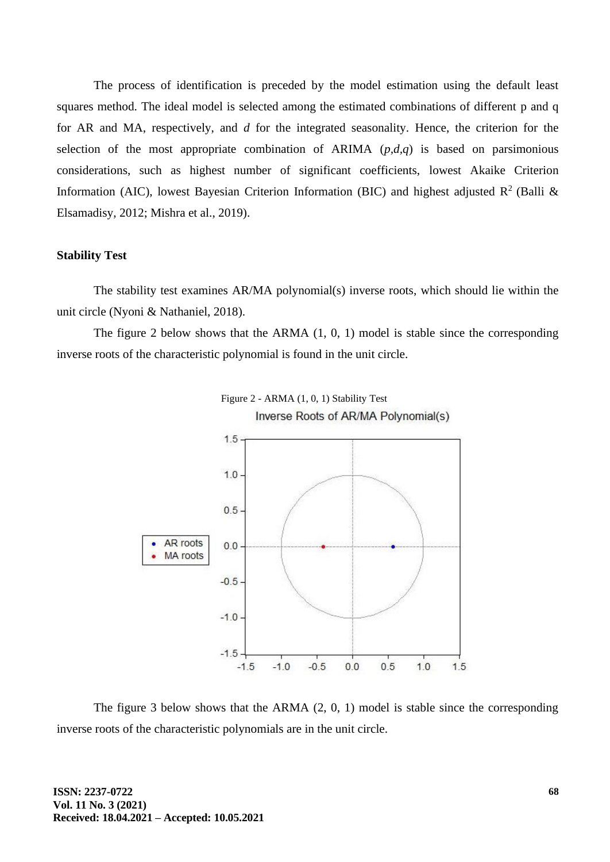The process of identification is preceded by the model estimation using the default least squares method. The ideal model is selected among the estimated combinations of different p and q for AR and MA, respectively, and *d* for the integrated seasonality. Hence, the criterion for the selection of the most appropriate combination of ARIMA  $(p,d,q)$  is based on parsimonious considerations, such as highest number of significant coefficients, lowest Akaike Criterion Information (AIC), lowest Bayesian Criterion Information (BIC) and highest adjusted  $R^2$  (Balli & Elsamadisy, 2012; Mishra et al., 2019).

#### **Stability Test**

The stability test examines AR/MA polynomial(s) inverse roots, which should lie within the unit circle (Nyoni & Nathaniel, 2018).

The figure 2 below shows that the ARMA (1, 0, 1) model is stable since the corresponding inverse roots of the characteristic polynomial is found in the unit circle.





The figure 3 below shows that the ARMA (2, 0, 1) model is stable since the corresponding inverse roots of the characteristic polynomials are in the unit circle.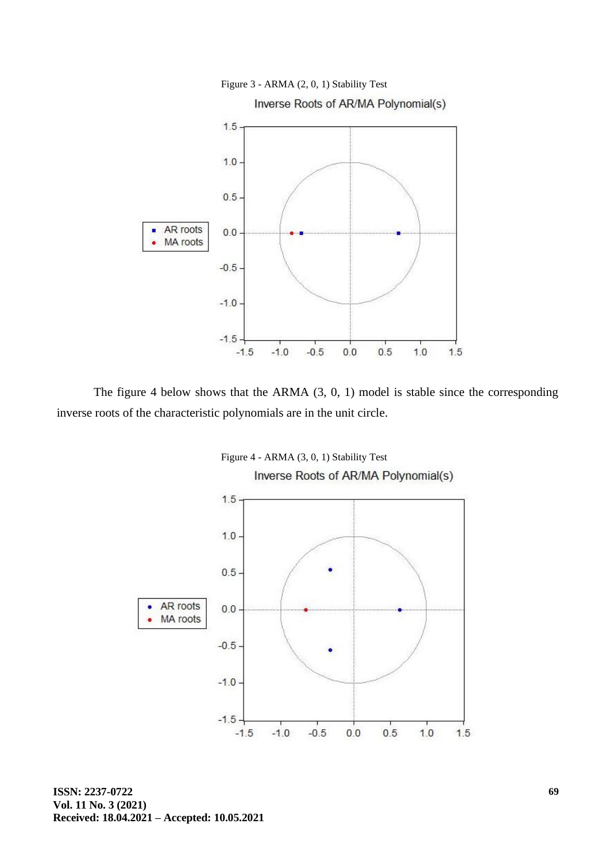

The figure 4 below shows that the ARMA (3, 0, 1) model is stable since the corresponding inverse roots of the characteristic polynomials are in the unit circle.



**ISSN: 2237-0722 Vol. 11 No. 3 (2021) Received: 18.04.2021 – Accepted: 10.05.2021**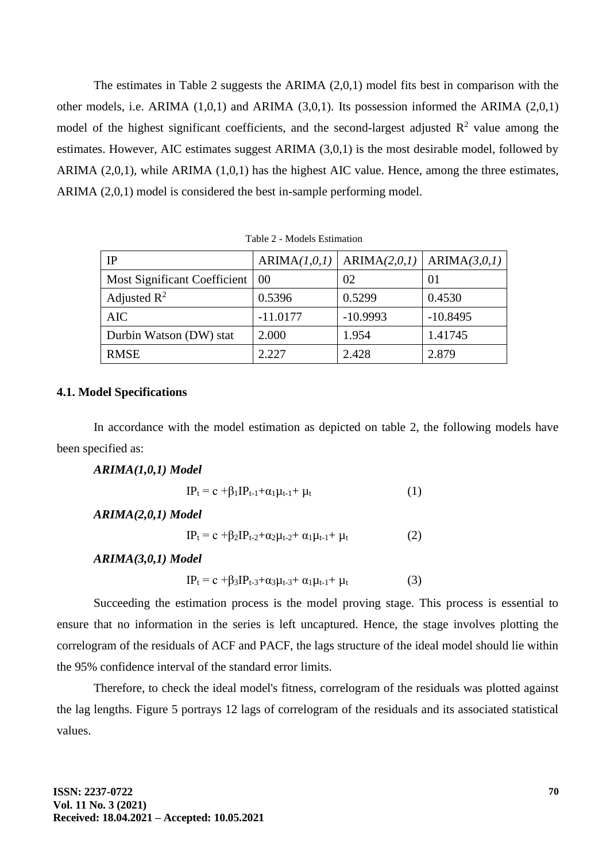The estimates in Table 2 suggests the ARIMA (2,0,1) model fits best in comparison with the other models, i.e. ARIMA (1,0,1) and ARIMA (3,0,1). Its possession informed the ARIMA (2,0,1) model of the highest significant coefficients, and the second-largest adjusted  $\mathbb{R}^2$  value among the estimates. However, AIC estimates suggest ARIMA (3,0,1) is the most desirable model, followed by ARIMA (2,0,1), while ARIMA (1,0,1) has the highest AIC value. Hence, among the three estimates, ARIMA (2,0,1) model is considered the best in-sample performing model.

| IP                           |            | $ARIMA(1,0,1)   ARIMA(2,0,1)   ARIMA(3,0,1)$ |            |  |
|------------------------------|------------|----------------------------------------------|------------|--|
| Most Significant Coefficient | 00         | 02                                           | 01         |  |
| Adjusted $\mathbb{R}^2$      | 0.5396     | 0.5299                                       | 0.4530     |  |
| <b>AIC</b>                   | $-11.0177$ | $-10.9993$                                   | $-10.8495$ |  |
| Durbin Watson (DW) stat      | 2.000      | 1.954                                        | 1.41745    |  |
| <b>RMSE</b>                  | 2.227      | 2.428                                        | 2.879      |  |

Table 2 - Models Estimation

## **4.1. Model Specifications**

In accordance with the model estimation as depicted on table 2, the following models have been specified as:

# *ARIMA(1,0,1) Model*

$$
IP_t = c + \beta_1 IP_{t-1} + \alpha_1 \mu_{t-1} + \mu_t \tag{1}
$$

*ARIMA(2,0,1) Model*

$$
IP_{t} = c + \beta_{2}IP_{t-2} + \alpha_{2}\mu_{t-2} + \alpha_{1}\mu_{t-1} + \mu_{t}
$$
 (2)

*ARIMA(3,0,1) Model*

$$
IP_{t} = c + \beta_{3}IP_{t-3} + \alpha_{3}\mu_{t-3} + \alpha_{1}\mu_{t-1} + \mu_{t}
$$
 (3)

Succeeding the estimation process is the model proving stage. This process is essential to ensure that no information in the series is left uncaptured. Hence, the stage involves plotting the correlogram of the residuals of ACF and PACF, the lags structure of the ideal model should lie within the 95% confidence interval of the standard error limits.

Therefore, to check the ideal model's fitness, correlogram of the residuals was plotted against the lag lengths. Figure 5 portrays 12 lags of correlogram of the residuals and its associated statistical values.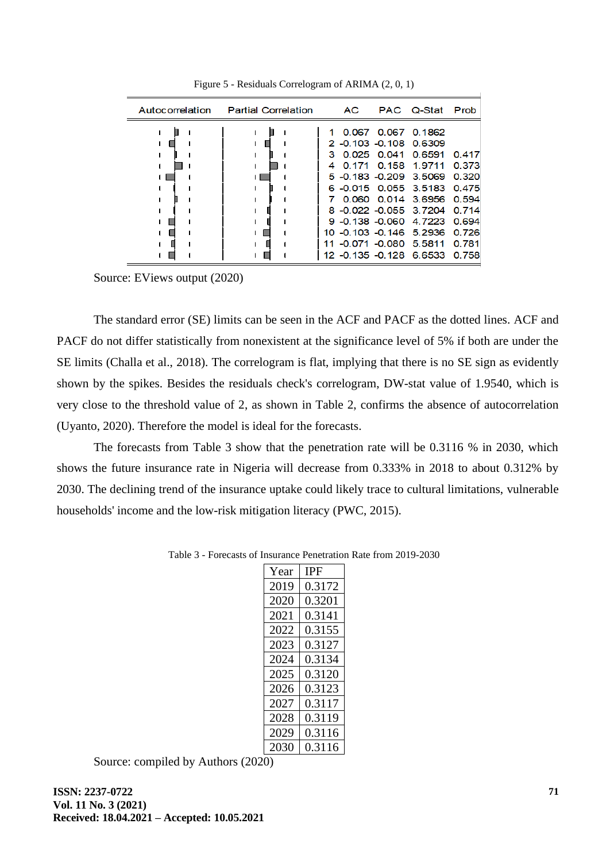| Autocorrelation | <b>Partial Correlation</b> | AC.                                                                                                                                                                                   |               | PAC Q-Stat Prob                                                    |                                                             |
|-----------------|----------------------------|---------------------------------------------------------------------------------------------------------------------------------------------------------------------------------------|---------------|--------------------------------------------------------------------|-------------------------------------------------------------|
|                 |                            | 0.067<br>2 -0.103 -0.108 0.6309<br>з.<br>0.171<br>4<br>5 -0.183 -0.209 3.5069<br>6 -0.015 0.055 3.5183<br>8 -0.022 -0.055 3.7204<br>9 -0.138 -0.060 4.7223<br>10 -0.103 -0.146 5.2936 | $0.025$ 0.041 | 0.067 0.1862<br>0.6591<br>0.158 1.9711<br>0.060 0.014 3.6956 0.594 | 0.417<br>0.373<br>0.320<br>0.475<br>0.714<br>0.694<br>0.726 |
|                 |                            | 11 -0.071 -0.080 5.5811<br>12 -0.135 -0.128 6.6533                                                                                                                                    |               |                                                                    | 0.781<br>0.758                                              |

Figure 5 - Residuals Correlogram of ARIMA (2, 0, 1)

Source: EViews output (2020)

The standard error (SE) limits can be seen in the ACF and PACF as the dotted lines. ACF and PACF do not differ statistically from nonexistent at the significance level of 5% if both are under the SE limits (Challa et al., 2018). The correlogram is flat, implying that there is no SE sign as evidently shown by the spikes. Besides the residuals check's correlogram, DW-stat value of 1.9540, which is very close to the threshold value of 2, as shown in Table 2, confirms the absence of autocorrelation (Uyanto, 2020). Therefore the model is ideal for the forecasts.

The forecasts from Table 3 show that the penetration rate will be 0.3116 % in 2030, which shows the future insurance rate in Nigeria will decrease from 0.333% in 2018 to about 0.312% by 2030. The declining trend of the insurance uptake could likely trace to cultural limitations, vulnerable households' income and the low-risk mitigation literacy (PWC, 2015).

| Year | IPF    |
|------|--------|
| 2019 | 0.3172 |
| 2020 | 0.3201 |
| 2021 | 0.3141 |
| 2022 | 0.3155 |
| 2023 | 0.3127 |
| 2024 | 0.3134 |
| 2025 | 0.3120 |
| 2026 | 0.3123 |
| 2027 | 0.3117 |
| 2028 | 0.3119 |
| 2029 | 0.3116 |
| 2030 | 0.3116 |

Table 3 - Forecasts of Insurance Penetration Rate from 2019-2030

Source: compiled by Authors (2020)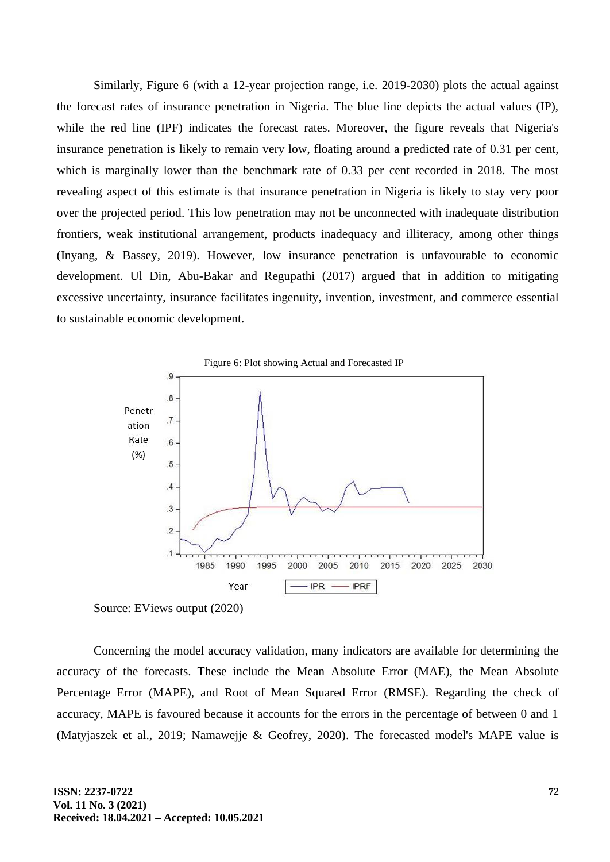Similarly, Figure 6 (with a 12-year projection range, i.e. 2019-2030) plots the actual against the forecast rates of insurance penetration in Nigeria. The blue line depicts the actual values (IP), while the red line (IPF) indicates the forecast rates. Moreover, the figure reveals that Nigeria's insurance penetration is likely to remain very low, floating around a predicted rate of 0.31 per cent, which is marginally lower than the benchmark rate of 0.33 per cent recorded in 2018. The most revealing aspect of this estimate is that insurance penetration in Nigeria is likely to stay very poor over the projected period. This low penetration may not be unconnected with inadequate distribution frontiers, weak institutional arrangement, products inadequacy and illiteracy, among other things (Inyang, & Bassey, 2019). However, low insurance penetration is unfavourable to economic development. Ul Din, Abu-Bakar and Regupathi (2017) argued that in addition to mitigating excessive uncertainty, insurance facilitates ingenuity, invention, investment, and commerce essential to sustainable economic development.



Source: EViews output (2020)

Concerning the model accuracy validation, many indicators are available for determining the accuracy of the forecasts. These include the Mean Absolute Error (MAE), the Mean Absolute Percentage Error (MAPE), and Root of Mean Squared Error (RMSE). Regarding the check of accuracy, MAPE is favoured because it accounts for the errors in the percentage of between 0 and 1 (Matyjaszek et al., 2019; Namawejje & Geofrey, 2020). The forecasted model's MAPE value is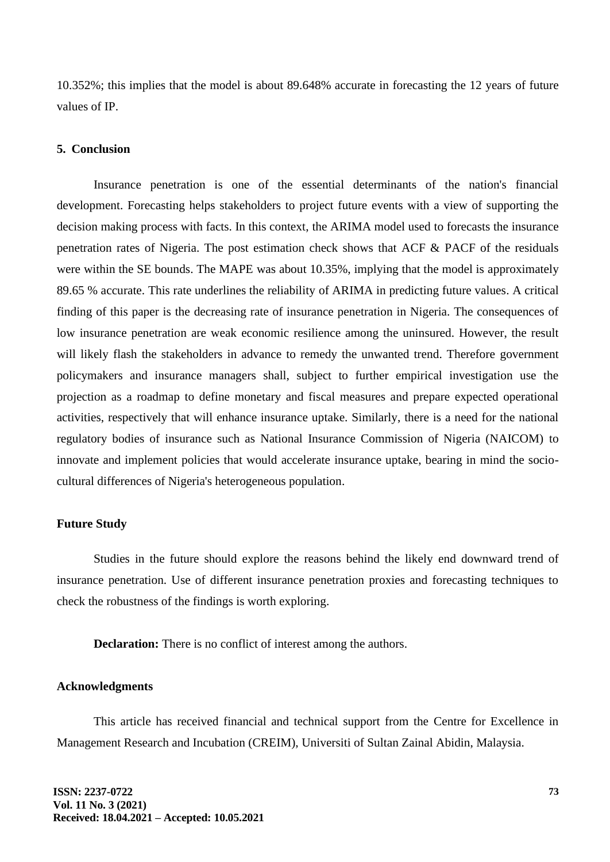10.352%; this implies that the model is about 89.648% accurate in forecasting the 12 years of future values of IP.

### **5. Conclusion**

Insurance penetration is one of the essential determinants of the nation's financial development. Forecasting helps stakeholders to project future events with a view of supporting the decision making process with facts. In this context, the ARIMA model used to forecasts the insurance penetration rates of Nigeria. The post estimation check shows that ACF & PACF of the residuals were within the SE bounds. The MAPE was about 10.35%, implying that the model is approximately 89.65 % accurate. This rate underlines the reliability of ARIMA in predicting future values. A critical finding of this paper is the decreasing rate of insurance penetration in Nigeria. The consequences of low insurance penetration are weak economic resilience among the uninsured. However, the result will likely flash the stakeholders in advance to remedy the unwanted trend. Therefore government policymakers and insurance managers shall, subject to further empirical investigation use the projection as a roadmap to define monetary and fiscal measures and prepare expected operational activities, respectively that will enhance insurance uptake. Similarly, there is a need for the national regulatory bodies of insurance such as National Insurance Commission of Nigeria (NAICOM) to innovate and implement policies that would accelerate insurance uptake, bearing in mind the sociocultural differences of Nigeria's heterogeneous population.

### **Future Study**

Studies in the future should explore the reasons behind the likely end downward trend of insurance penetration. Use of different insurance penetration proxies and forecasting techniques to check the robustness of the findings is worth exploring.

**Declaration:** There is no conflict of interest among the authors.

### **Acknowledgments**

This article has received financial and technical support from the Centre for Excellence in Management Research and Incubation (CREIM), Universiti of Sultan Zainal Abidin, Malaysia.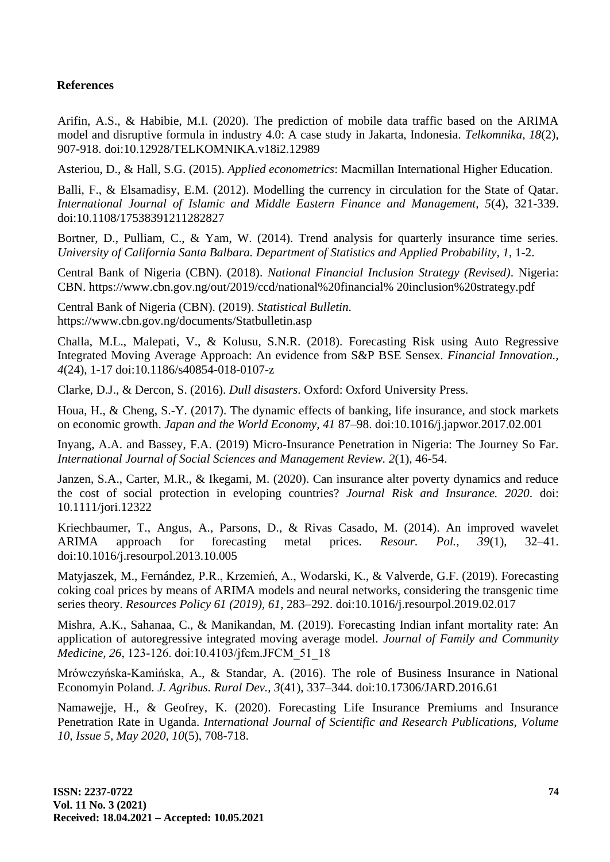# **References**

Arifin, A.S., & Habibie, M.I. (2020). The prediction of mobile data traffic based on the ARIMA model and disruptive formula in industry 4.0: A case study in Jakarta, Indonesia. *Telkomnika, 18*(2), 907-918. doi:10.12928/TELKOMNIKA.v18i2.12989

Asteriou, D., & Hall, S.G. (2015). *Applied econometrics*: Macmillan International Higher Education.

Balli, F., & Elsamadisy, E.M. (2012). Modelling the currency in circulation for the State of Oatar. *International Journal of Islamic and Middle Eastern Finance and Management, 5*(4), 321-339. doi:10.1108/17538391211282827

Bortner, D., Pulliam, C., & Yam, W. (2014). Trend analysis for quarterly insurance time series. *University of California Santa Balbara. Department of Statistics and Applied Probability, 1*, 1-2.

Central Bank of Nigeria (CBN). (2018). *National Financial Inclusion Strategy (Revised)*. Nigeria: CBN. https://www.cbn.gov.ng/out/2019/ccd/national%20financial% 20inclusion%20strategy.pdf

Central Bank of Nigeria (CBN). (2019). *Statistical Bulletin.* https://www.cbn.gov.ng/documents/Statbulletin.asp

Challa, M.L., Malepati, V., & Kolusu, S.N.R. (2018). Forecasting Risk using Auto Regressive Integrated Moving Average Approach: An evidence from S&P BSE Sensex. *Financial Innovation., 4*(24), 1-17 doi:10.1186/s40854-018-0107-z

Clarke, D.J., & Dercon, S. (2016). *Dull disasters*. Oxford: Oxford University Press.

Houa, H., & Cheng, S.-Y. (2017). The dynamic effects of banking, life insurance, and stock markets on economic growth. *Japan and the World Economy, 41* 87–98. doi:10.1016/j.japwor.2017.02.001

Inyang, A.A. and Bassey, F.A. (2019) Micro-Insurance Penetration in Nigeria: The Journey So Far. *International Journal of Social Sciences and Management Review. 2*(1), 46-54.

Janzen, S.A., Carter, M.R., & Ikegami, M. (2020). Can insurance alter poverty dynamics and reduce the cost of social protection in eveloping countries? *Journal Risk and Insurance. 2020*. doi: 10.1111/jori.12322

Kriechbaumer, T., Angus, A., Parsons, D., & Rivas Casado, M. (2014). An improved wavelet ARIMA approach for forecasting metal prices. *Resour. Pol., 39*(1), 32–41. doi:10.1016/j.resourpol.2013.10.005

Matyjaszek, M., Fernández, P.R., Krzemień, A., Wodarski, K., & Valverde, G.F. (2019). Forecasting coking coal prices by means of ARIMA models and neural networks, considering the transgenic time series theory. *Resources Policy 61 (2019), 61*, 283–292. doi:10.1016/j.resourpol.2019.02.017

Mishra, A.K., Sahanaa, C., & Manikandan, M. (2019). Forecasting Indian infant mortality rate: An application of autoregressive integrated moving average model. *Journal of Family and Community Medicine, 26*, 123‑126. doi:10.4103/jfcm.JFCM\_51\_18

Mrówczyńska-Kamińska, A., & Standar, A. (2016). The role of Business Insurance in National Economyin Poland. *J. Agribus. Rural Dev., 3*(41), 337–344. doi:10.17306/JARD.2016.61

Namawejje, H., & Geofrey, K. (2020). Forecasting Life Insurance Premiums and Insurance Penetration Rate in Uganda. *International Journal of Scientific and Research Publications, Volume 10, Issue 5, May 2020, 10*(5), 708-718.